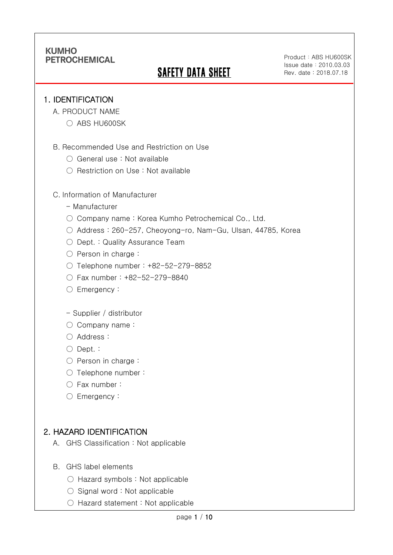# **SAFETY DATA SHEET**

Product: ABS HU600SK Issue date:2010.03.03 Rev. date : 2018.07.18

#### 1. IDENTIFICATION

Ī

- A. PRODUCT NAME
	- ABS HU600SK
- B. Recommended Use and Restriction on Use
	- General use : Not available
	- Restriction on Use : Not available

#### C. Information of Manufacturer

- Manufacturer
- Company name: Korea Kumho Petrochemical Co., Ltd.
- Address : 260-257, Cheoyong-ro, Nam-Gu, Ulsan, 44785, Korea
- Dept. : Quality Assurance Team
- Person in charge :
- Telephone number : +82-52-279-8852
- Fax number : +82-52-279-8840
- Emergency:

#### - Supplier / distributor

- Company name:
- Address :
- Dept. :
- Person in charge :
- Telephone number :
- Fax number :
- Emergency:

### 2. HAZARD IDENTIFICATION

- A. GHS Classification : Not applicable
- B. GHS label elements
	- Hazard symbols : Not applicable
	- $\bigcirc$  Signal word : Not applicable
	- Hazard statement : Not applicable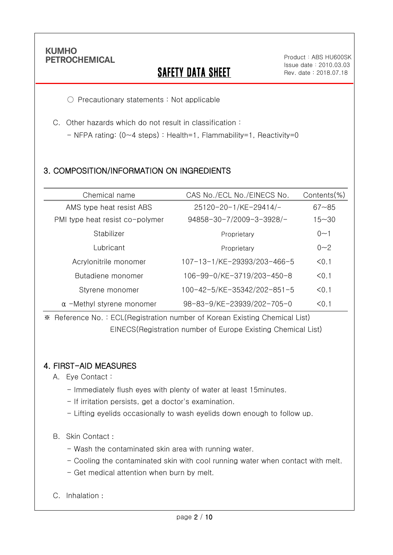Ī

# **SAFETY DATA SHEET**

○ Precautionary statements : Not applicable

C. Other hazards which do not result in classification :

- NFPA rating: (0~4 steps) : Health=1, Flammability=1, Reactivity=0

## 3. COMPOSITION/INFORMATION ON INGREDIENTS

| Chemical name                    | CAS No./ECL No./EINECS No.  | Contents(%) |
|----------------------------------|-----------------------------|-------------|
| AMS type heat resist ABS         | 25120-20-1/KE-29414/-       | $67 - 85$   |
| PMI type heat resist co-polymer  | 94858-30-7/2009-3-3928/-    | $15 - 30$   |
| Stabilizer                       | Proprietary                 | 0<1         |
| Lubricant                        | Proprietary                 | $0 - 2$     |
| Acrylonitrile monomer            | 107-13-1/KE-29393/203-466-5 | < 0.1       |
| Butadiene monomer                | 106-99-0/KE-3719/203-450-8  | < 0.1       |
| Styrene monomer                  | 100-42-5/KE-35342/202-851-5 | < 0.1       |
| $\alpha$ -Methyl styrene monomer | 98-83-9/KE-23939/202-705-0  | < 0.1       |

※ Reference No. : ECL(Registration number of Korean Existing Chemical List) EINECS(Registration number of Europe Existing Chemical List)

### 4. FIRST-AID MEASURES

- A. Eye Contact :
	- Immediately flush eyes with plenty of water at least 15minutes.
	- If irritation persists, get a doctor's examination.
	- Lifting eyelids occasionally to wash eyelids down enough to follow up.

#### B. Skin Contact :

- Wash the contaminated skin area with running water.
- Cooling the contaminated skin with cool running water when contact with melt.
- Get medical attention when burn by melt.
- C. Inhalation :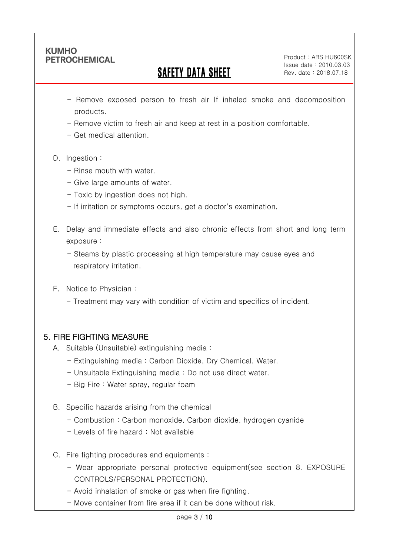Ī

# SAFETY DATA SHEET

Product: ABS HU600SK Issue date:2010.03.03 Rev. date : 2018.07.18

- Remove exposed person to fresh air If inhaled smoke and decomposition products.
- Remove victim to fresh air and keep at rest in a position comfortable.
- Get medical attention.
- D. Ingestion:
	- Rinse mouth with water
	- Give large amounts of water.
	- Toxic by ingestion does not high.
	- If irritation or symptoms occurs, get a doctor's examination.
- E. Delay and immediate effects and also chronic effects from short and long term exposure :
	- Steams by plastic processing at high temperature may cause eyes and respiratory irritation.
- F. Notice to Physician :
	- Treatment may vary with condition of victim and specifics of incident.

## 5. FIRE FIGHTING MEASURE

- A. Suitable (Unsuitable) extinguishing media :
	- Extinguishing media : Carbon Dioxide, Dry Chemical, Water.
	- Unsuitable Extinguishing media : Do not use direct water.
	- Big Fire : Water spray, regular foam
- B. Specific hazards arising from the chemical
	- Combustion : Carbon monoxide, Carbon dioxide, hydrogen cyanide
	- Levels of fire hazard : Not available
- C. Fire fighting procedures and equipments :
	- Wear appropriate personal protective equipment(see section 8. EXPOSURE CONTROLS/PERSONAL PROTECTION).
	- Avoid inhalation of smoke or gas when fire fighting.
	- Move container from fire area if it can be done without risk.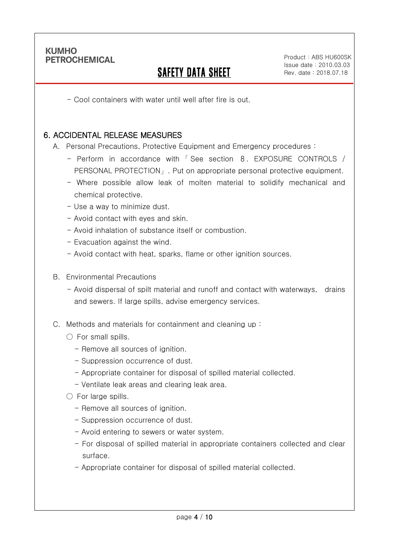Ī

# SAFETY DATA SHEET

- Cool containers with water until well after fire is out.

#### 6. ACCIDENTAL RELEASE MEASURES

A. Personal Precautions, Protective Equipment and Emergency procedures :

- Perform in accordance with 「 See section 8. EXPOSURE CONTROLS / PERSONAL PROTECTION」. Put on appropriate personal protective equipment.
- Where possible allow leak of molten material to solidify mechanical and chemical protective.
- Use a way to minimize dust.
- Avoid contact with eyes and skin.
- Avoid inhalation of substance itself or combustion.
- Evacuation against the wind.
- Avoid contact with heat, sparks, flame or other ignition sources.
- B. Environmental Precautions
	- Avoid dispersal of spilt material and runoff and contact with waterways, drains and sewers. If large spills, advise emergency services.
- C. Methods and materials for containment and cleaning up :
	- $\bigcirc$  For small spills.
		- Remove all sources of ignition.
		- Suppression occurrence of dust.
		- Appropriate container for disposal of spilled material collected.
		- Ventilate leak areas and clearing leak area.
	- For large spills.
		- Remove all sources of ignition.
		- Suppression occurrence of dust.
		- Avoid entering to sewers or water system.
		- For disposal of spilled material in appropriate containers collected and clear surface.
		- Appropriate container for disposal of spilled material collected.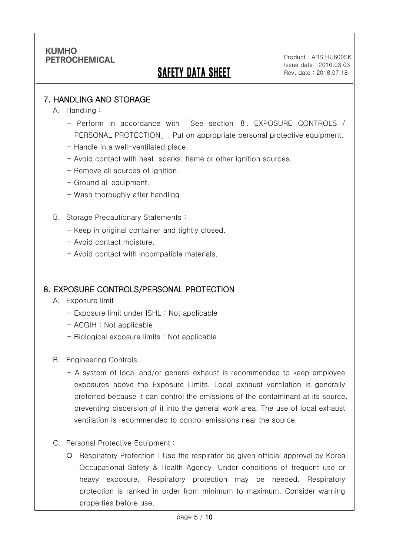# SAFETY DATA SHEET

Product: ABS HU600SK Issue date:2010.03.03 Rev. date : 2018.07.18

#### 7. HANDLING AND STORAGE

A. Handling :

Ī

- Perform in accordance with 「 See section 8. EXPOSURE CONTROLS / PERSONAL PROTECTION」. Put on appropriate personal protective equipment.
- Handle in a well-ventilated place.
- Avoid contact with heat, sparks, flame or other ignition sources.
- Remove all sources of ignition.
- Ground all equipment.
- Wash thoroughly after handling
- B. Storage Precautionary Statements :
	- Keep in original container and tightly closed.
	- Avoid contact moisture.
	- Avoid contact with incompatible materials.

#### 8. EXPOSURE CONTROLS/PERSONAL PROTECTION

- A. Exposure limit
	- Exposure limit under ISHL : Not applicable
	- ACGIH : Not applicable
	- Biological exposure limits : Not applicable
- B. Engineering Controls
	- A system of local and/or general exhaust is recommended to keep employee exposures above the Exposure Limits. Local exhaust ventilation is generally preferred because it can control the emissions of the contaminant at its source, preventing dispersion of it into the general work area. The use of local exhaust ventilation is recommended to control emissions near the source.
- C. Personal Protective Equipment :
	- Respiratory Protection : Use the respirator be given official approval by Korea Occupational Safety & Health Agency. Under conditions of frequent use or heavy exposure, Respiratory protection may be needed. Respiratory protection is ranked in order from minimum to maximum. Consider warning properties before use.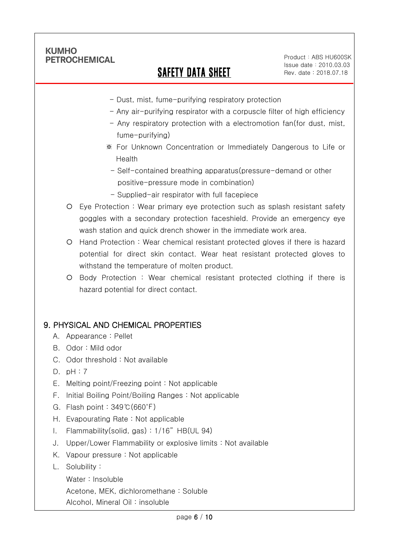Ī

# SAFETY DATA SHEET

Product: ABS HU600SK Issue date:2010.03.03 Rev. date : 2018.07.18

- Dust, mist, fume-purifying respiratory protection
- Any air-purifying respirator with a corpuscle filter of high efficiency
- Any respiratory protection with a electromotion fan(for dust, mist, fume-purifying)
- ※ For Unknown Concentration or Immediately Dangerous to Life or Health
- Self-contained breathing apparatus(pressure-demand or other positive-pressure mode in combination)
- Supplied-air respirator with full facepiece
- Eye Protection : Wear primary eye protection such as splash resistant safety goggles with a secondary protection faceshield. Provide an emergency eye wash station and quick drench shower in the immediate work area.
- Hand Protection : Wear chemical resistant protected gloves if there is hazard potential for direct skin contact. Wear heat resistant protected gloves to withstand the temperature of molten product.
- Body Protection : Wear chemical resistant protected clothing if there is hazard potential for direct contact.

### 9. PHYSICAL AND CHEMICAL PROPERTIES

- A. Appearance : Pellet
- B. Odor : Mild odor
- C. Odor threshold : Not available
- D. pH : 7
- E. Melting point/Freezing point : Not applicable
- F. Initial Boiling Point/Boiling Ranges : Not applicable
- G. Flash point : 349℃(660℉)
- H. Evapourating Rate : Not applicable
- I. Flammability(solid, gas) : 1/16" HB(UL 94)
- J. Upper/Lower Flammability or explosive limits : Not available
- K. Vapour pressure : Not applicable
- L. Solubility :
	- Water : Insoluble

Acetone, MEK, dichloromethane : Soluble

Alcohol, Mineral Oil : insoluble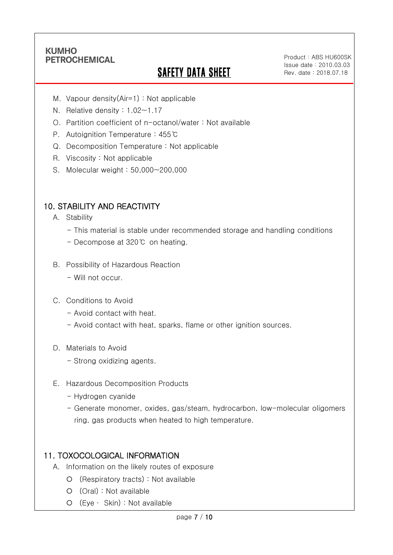Ī

# **SAFETY DATA SHEET**

Product: ABS HU600SK Issue date:2010.03.03 Rev. date : 2018.07.18

- M. Vapour density(Air=1) : Not applicable
- N. Relative density : 1.02~1.17
- O. Partition coefficient of n-octanol/water : Not available
- P. Autoignition Temperature : 455℃
- Q. Decomposition Temperature : Not applicable
- R. Viscosity : Not applicable
- S. Molecular weight : 50,000~200,000

### 10. STABILITY AND REACTIVITY

- A. Stability
	- This material is stable under recommended storage and handling conditions
	- Decompose at 320℃ on heating.
- B. Possibility of Hazardous Reaction
	- Will not occur.
- C. Conditions to Avoid
	- Avoid contact with heat.
	- Avoid contact with heat, sparks, flame or other ignition sources.
- D. Materials to Avoid
	- Strong oxidizing agents.
- E. Hazardous Decomposition Products
	- Hydrogen cyanide
	- Generate monomer, oxides, gas/steam, hydrocarbon, low-molecular oligomers ring, gas products when heated to high temperature.

### 11. TOXOCOLOGICAL INFORMATION

- A. Information on the likely routes of exposure
	- (Respiratory tracts) : Not available
	- (Oral) : Not available
	- (Eye ∙ Skin) : Not available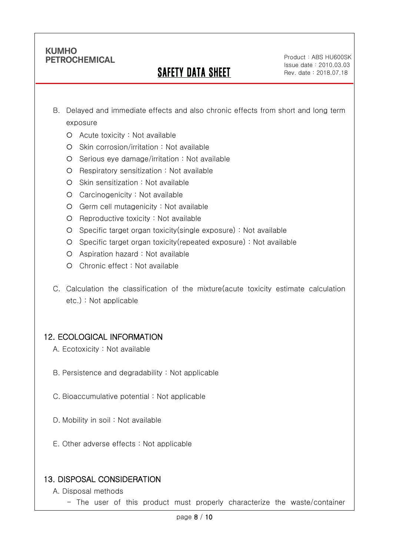Ī

# SAFETY DATA SHEET

Product: ABS HU600SK Issue date:2010.03.03 Rev. date : 2018.07.18

- B. Delayed and immediate effects and also chronic effects from short and long term exposure
	- Acute toxicity : Not available
	- O Skin corrosion/irritation : Not available
	- $O$  Serious eye damage/irritation : Not available
	- O Respiratory sensitization : Not available
	- O Skin sensitization : Not available
	- Carcinogenicity : Not available
	- Germ cell mutagenicity : Not available
	- $O$  Reproductive toxicity : Not available
	- Specific target organ toxicity(single exposure) : Not available
	- Specific target organ toxicity(repeated exposure) : Not available
	- Aspiration hazard : Not available
	- Chronic effect : Not available
- C. Calculation the classification of the mixture(acute toxicity estimate calculation etc.) : Not applicable

### 12. ECOLOGICAL INFORMATION

- A. Ecotoxicity : Not available
- B. Persistence and degradability : Not applicable
- C. Bioaccumulative potential : Not applicable
- D. Mobility in soil : Not available
- E. Other adverse effects : Not applicable

### 13. DISPOSAL CONSIDERATION

- A. Disposal methods
	- The user of this product must properly characterize the waste/container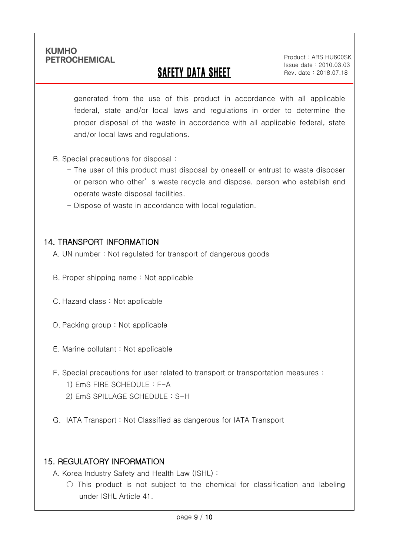Ī

# SAFETY DATA SHEET

Product: ABS HU600SK Issue date:2010.03.03 Rev. date : 2018.07.18

generated from the use of this product in accordance with all applicable federal, state and/or local laws and regulations in order to determine the proper disposal of the waste in accordance with all applicable federal, state and/or local laws and regulations.

- B. Special precautions for disposal :
	- The user of this product must disposal by oneself or entrust to waste disposer or person who other' s waste recycle and dispose, person who establish and operate waste disposal facilities.
	- Dispose of waste in accordance with local regulation.

#### 14. TRANSPORT INFORMATION

- A. UN number : Not regulated for transport of dangerous goods
- B. Proper shipping name : Not applicable
- C. Hazard class : Not applicable
- D. Packing group : Not applicable
- E. Marine pollutant : Not applicable
- F. Special precautions for user related to transport or transportation measures :
	- 1) EmS FIRE SCHEDULE : F-A
	- 2) EmS SPILLAGE SCHEDULE : S-H
- G. IATA Transport : Not Classified as dangerous for IATA Transport

### 15. REGULATORY INFORMATION

A. Korea Industry Safety and Health Law (ISHL) :

 $\bigcirc$  This product is not subject to the chemical for classification and labeling under ISHL Article 41.